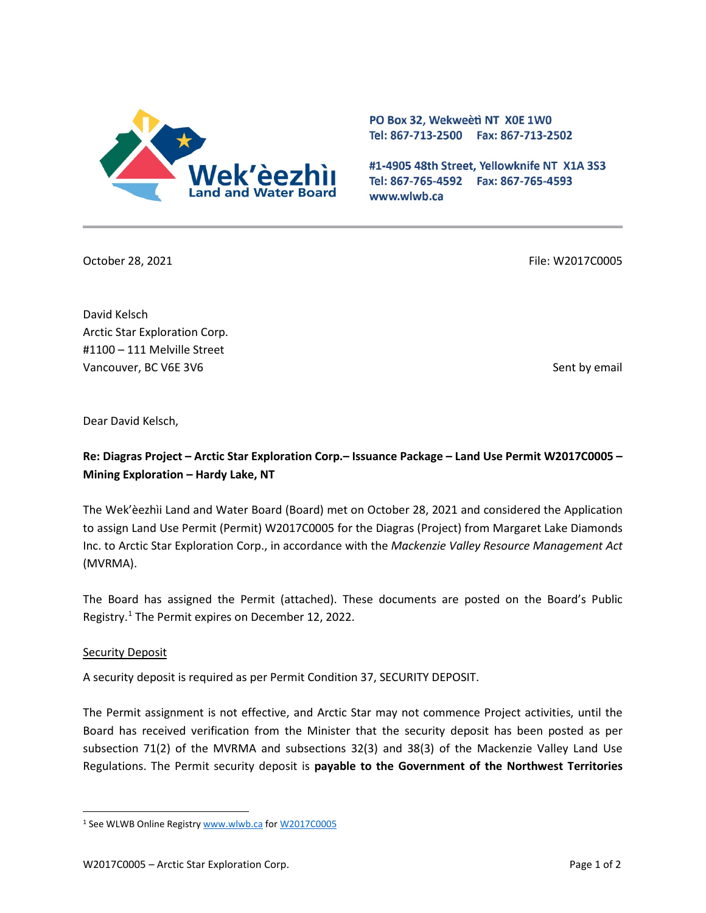

PO Box 32, Wekweeti NT X0E 1W0 Tel: 867-713-2500 Fax: 867-713-2502

#1-4905 48th Street, Yellowknife NT X1A 3S3 Tel: 867-765-4592 Fax: 867-765-4593 www.wlwb.ca

October 28, 2021 File: W2017C0005

David Kelsch Arctic Star Exploration Corp. #1100 – 111 Melville Street Vancouver, BC V6E 3V6 Sent by email by email by email by email by email by email by email by email by email by email by email by email by email by email by email by email by email by email by email by email by email by ema

Dear David Kelsch,

# **Re: Diagras Project – Arctic Star Exploration Corp.– Issuance Package – Land Use Permit W2017C0005 – Mining Exploration – Hardy Lake, NT**

The Wek'èezhìi Land and Water Board (Board) met on October 28, 2021 and considered the Application to assign Land Use Permit (Permit) W2017C0005 for the Diagras (Project) from Margaret Lake Diamonds Inc. to Arctic Star Exploration Corp., in accordance with the *Mackenzie Valley Resource Management Act*  (MVRMA).

The Board has assigned the Permit (attached). These documents are posted on the Board's Public Registry.[1](#page-0-0) The Permit expires on December 12, 2022.

## **Security Deposit**

A security deposit is required as per Permit Condition 37, SECURITY DEPOSIT.

The Permit assignment is not effective, and Arctic Star may not commence Project activities, until the Board has received verification from the Minister that the security deposit has been posted as per subsection 71(2) of the MVRMA and subsections 32(3) and 38(3) of the Mackenzie Valley Land Use Regulations. The Permit security deposit is **payable to the Government of the Northwest Territories** 

<span id="page-0-0"></span><sup>1</sup> See WLWB Online Registr[y www.wlwb.ca](http://www.wlwb.ca/) for [W2017C0005](https://wlwb.ca/registry/W2017C0005)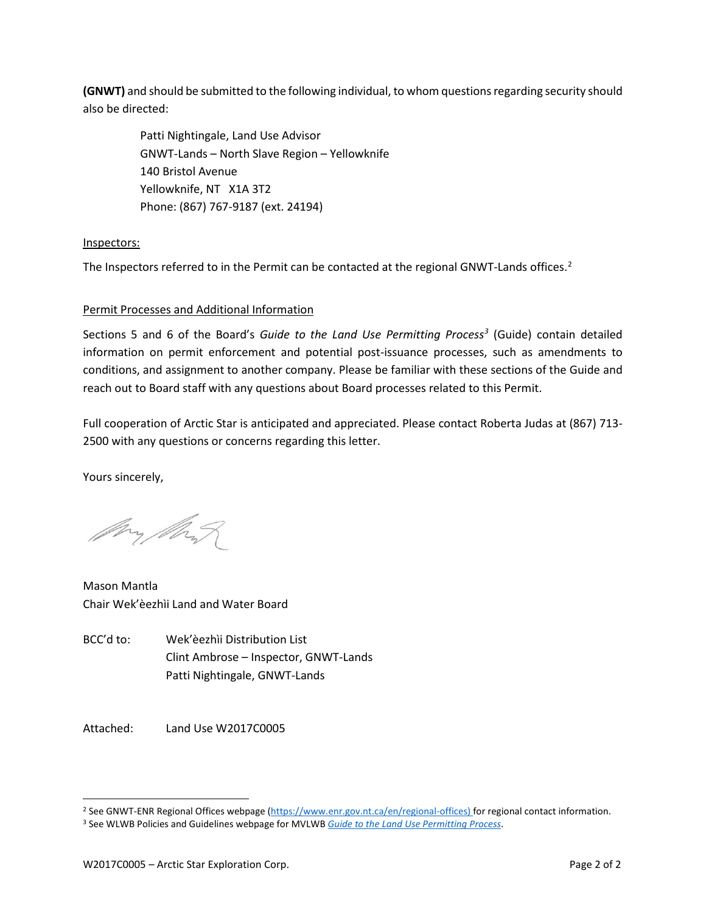**(GNWT)** and should be submitted to the following individual, to whom questions regarding security should also be directed:

> Patti Nightingale, Land Use Advisor GNWT-Lands – North Slave Region – Yellowknife 140 Bristol Avenue Yellowknife, NT X1A 3T2 Phone: (867) 767-9187 (ext. 24194)

## Inspectors:

The Inspectors referred to in the Permit can be contacted at the regional GNWT-Lands offices.<sup>[2](#page-1-0)</sup>

## Permit Processes and Additional Information

Sections 5 and 6 of the Board's *Guide to the Land Use Permitting Process[3](#page-1-1)* (Guide) contain detailed information on permit enforcement and potential post-issuance processes, such as amendments to conditions, and assignment to another company. Please be familiar with these sections of the Guide and reach out to Board staff with any questions about Board processes related to this Permit.

Full cooperation of Arctic Star is anticipated and appreciated. Please contact Roberta Judas at (867) 713- 2500 with any questions or concerns regarding this letter.

Yours sincerely,

My My

Mason Mantla Chair Wek'èezhìi Land and Water Board

BCC'd to: Wek'èezhìi Distribution List Clint Ambrose – Inspector, GNWT-Lands Patti Nightingale, GNWT-Lands

Attached: Land Use W2017C0005

<span id="page-1-0"></span><sup>&</sup>lt;sup>2</sup> See GNWT-ENR Regional Offices webpage [\(https://www.enr.gov.nt.ca/en/regional-offices\)](https://www.enr.gov.nt.ca/en/regional-offices) for regional contact information.

<span id="page-1-1"></span><sup>3</sup> See WLWB Policies and Guidelines webpage for MVLWB *[Guide to the Land Use Permitting Process](https://mvlwb.com/sites/default/files/2021-08/LWB%20Guide%20to%20the%20Land%20Use%20Permitting%20Process%20-%20FINAL%20-%20Aug%2030_21.pdf)*.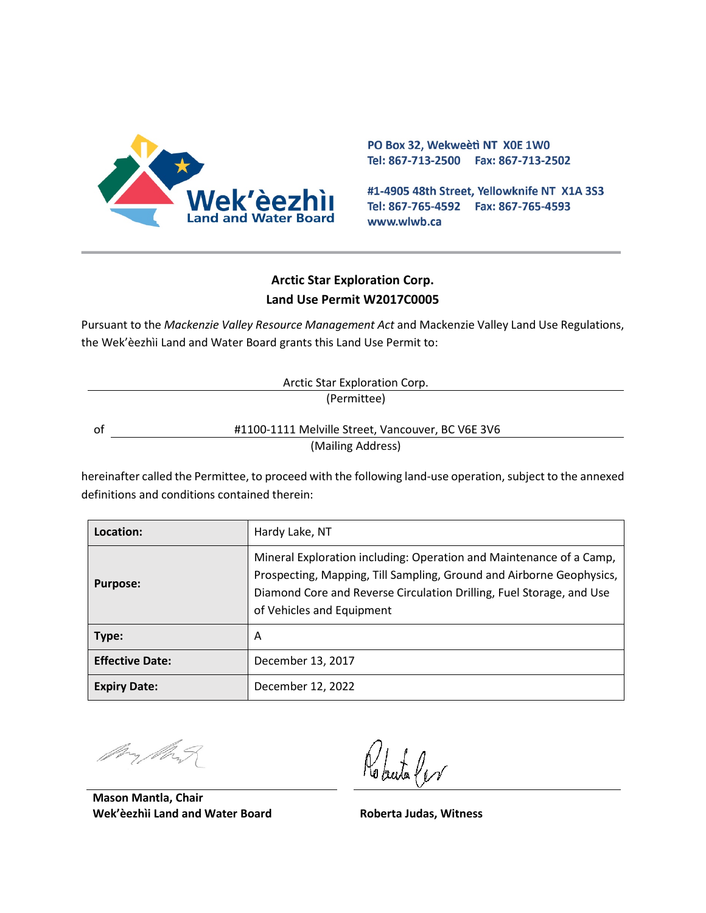

PO Box 32, Wekweeti NT X0E 1W0 Tel: 867-713-2500 Fax: 867-713-2502

#1-4905 48th Street, Yellowknife NT X1A 3S3 Tel: 867-765-4592 Fax: 867-765-4593 www.wlwb.ca

# **Arctic Star Exploration Corp. Land Use Permit W2017C0005**

Pursuant to the *Mackenzie Valley Resource Management Act* and Mackenzie Valley Land Use Regulations, the Wek'èezhìi Land and Water Board grants this Land Use Permit to:

| Arctic Star Exploration Corp. |                                                   |
|-------------------------------|---------------------------------------------------|
|                               | (Permittee)                                       |
| 0t                            | #1100-1111 Melville Street, Vancouver, BC V6E 3V6 |
|                               | (Mailing Address)                                 |

hereinafter called the Permittee, to proceed with the following land-use operation, subject to the annexed definitions and conditions contained therein:

| Location:              | Hardy Lake, NT                                                                                                                                                                                                                                   |
|------------------------|--------------------------------------------------------------------------------------------------------------------------------------------------------------------------------------------------------------------------------------------------|
| <b>Purpose:</b>        | Mineral Exploration including: Operation and Maintenance of a Camp,<br>Prospecting, Mapping, Till Sampling, Ground and Airborne Geophysics,<br>Diamond Core and Reverse Circulation Drilling, Fuel Storage, and Use<br>of Vehicles and Equipment |
| Type:                  | A                                                                                                                                                                                                                                                |
| <b>Effective Date:</b> | December 13, 2017                                                                                                                                                                                                                                |
| <b>Expiry Date:</b>    | December 12, 2022                                                                                                                                                                                                                                |

**Mason Mantla, Chair Wek'èezhìi Land and Water Board Roberta Judas, Witness**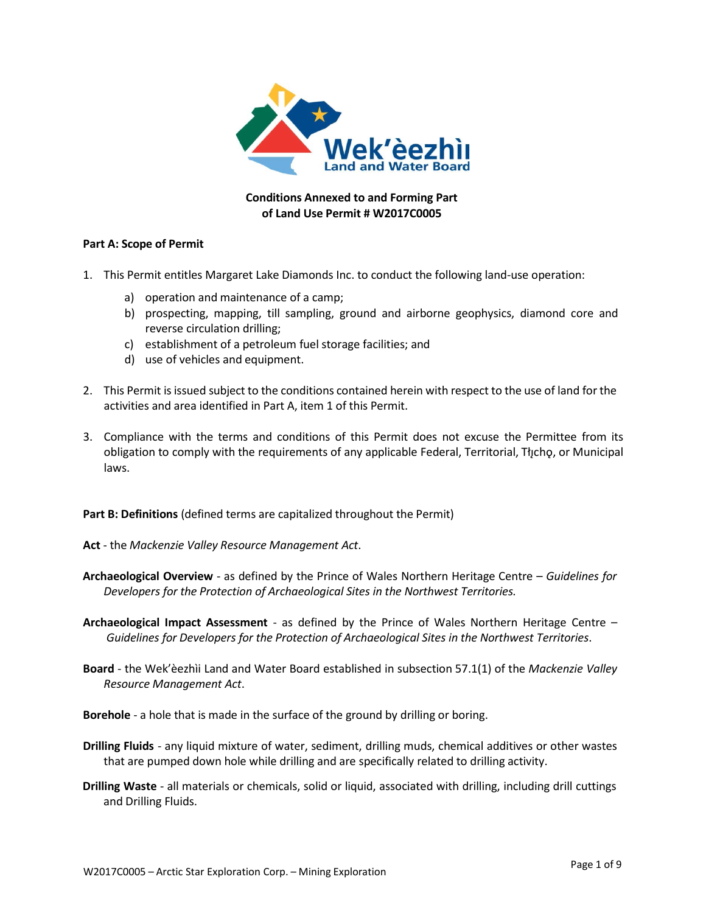

# **Conditions Annexed to and Forming Part of Land Use Permit # W2017C0005**

#### **Part A: Scope of Permit**

- 1. This Permit entitles Margaret Lake Diamonds Inc. to conduct the following land-use operation:
	- a) operation and maintenance of a camp;
	- b) prospecting, mapping, till sampling, ground and airborne geophysics, diamond core and reverse circulation drilling;
	- c) establishment of a petroleum fuel storage facilities; and
	- d) use of vehicles and equipment.
- 2. This Permit is issued subject to the conditions contained herein with respect to the use of land for the activities and area identified in Part A, item 1 of this Permit.
- 3. Compliance with the terms and conditions of this Permit does not excuse the Permittee from its obligation to comply with the requirements of any applicable Federal, Territorial, Tłycho, or Municipal laws.

**Part B: Definitions** (defined terms are capitalized throughout the Permit)

- **Act** the *Mackenzie Valley Resource Management Act*.
- **Archaeological Overview** as defined by the Prince of Wales Northern Heritage Centre *Guidelines for Developers for the Protection of Archaeological Sites in the Northwest Territories.*
- **Archaeological Impact Assessment** as defined by the Prince of Wales Northern Heritage Centre *Guidelines for Developers for the Protection of Archaeological Sites in the Northwest Territories*.
- **Board** the Wek'èezhìi Land and Water Board established in subsection 57.1(1) of the *Mackenzie Valley Resource Management Act*.

**Borehole** - a hole that is made in the surface of the ground by drilling or boring.

- **Drilling Fluids** any liquid mixture of water, sediment, drilling muds, chemical additives or other wastes that are pumped down hole while drilling and are specifically related to drilling activity.
- **Drilling Waste** all materials or chemicals, solid or liquid, associated with drilling, including drill cuttings and Drilling Fluids.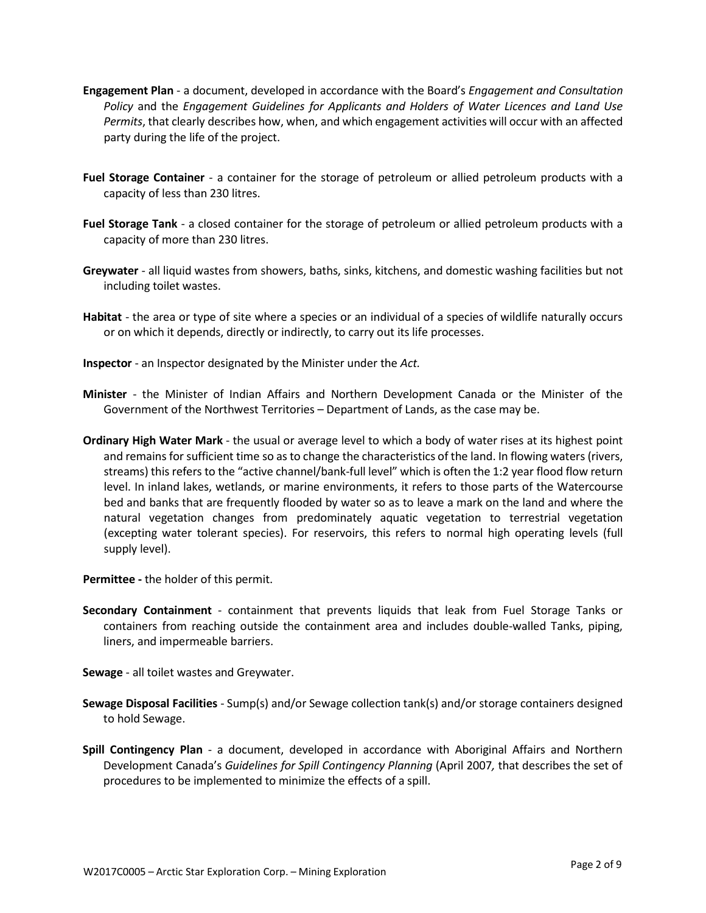- **Engagement Plan** a document, developed in accordance with the Board's *Engagement and Consultation Policy* and the *Engagement Guidelines for Applicants and Holders of Water Licences and Land Use Permits*, that clearly describes how, when, and which engagement activities will occur with an affected party during the life of the project.
- **Fuel Storage Container** a container for the storage of petroleum or allied petroleum products with a capacity of less than 230 litres.
- **Fuel Storage Tank** a closed container for the storage of petroleum or allied petroleum products with a capacity of more than 230 litres.
- **Greywater** all liquid wastes from showers, baths, sinks, kitchens, and domestic washing facilities but not including toilet wastes.
- **Habitat** the area or type of site where a species or an individual of a species of wildlife naturally occurs or on which it depends, directly or indirectly, to carry out its life processes.
- **Inspector** an Inspector designated by the Minister under the *Act.*
- **Minister** the Minister of Indian Affairs and Northern Development Canada or the Minister of the Government of the Northwest Territories – Department of Lands, as the case may be.
- **Ordinary High Water Mark** the usual or average level to which a body of water rises at its highest point and remains for sufficient time so as to change the characteristics of the land. In flowing waters (rivers, streams) this refers to the "active channel/bank-full level" which is often the 1:2 year flood flow return level. In inland lakes, wetlands, or marine environments, it refers to those parts of the Watercourse bed and banks that are frequently flooded by water so as to leave a mark on the land and where the natural vegetation changes from predominately aquatic vegetation to terrestrial vegetation (excepting water tolerant species). For reservoirs, this refers to normal high operating levels (full supply level).

**Permittee -** the holder of this permit.

- **Secondary Containment** containment that prevents liquids that leak from Fuel Storage Tanks or containers from reaching outside the containment area and includes double-walled Tanks, piping, liners, and impermeable barriers.
- **Sewage**  all toilet wastes and Greywater.
- **Sewage Disposal Facilities** Sump(s) and/or Sewage collection tank(s) and/or storage containers designed to hold Sewage.
- **Spill Contingency Plan** a document, developed in accordance with Aboriginal Affairs and Northern Development Canada's *Guidelines for Spill Contingency Planning* (April 2007*,* that describes the set of procedures to be implemented to minimize the effects of a spill.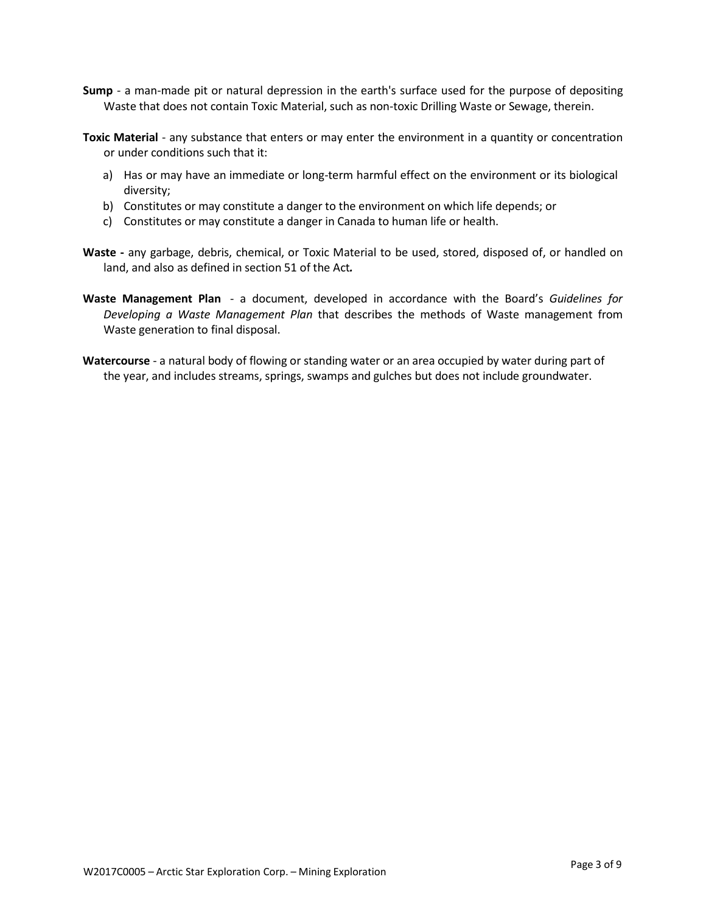- **Sump** a man-made pit or natural depression in the earth's surface used for the purpose of depositing Waste that does not contain Toxic Material, such as non-toxic Drilling Waste or Sewage, therein.
- **Toxic Material** any substance that enters or may enter the environment in a quantity or concentration or under conditions such that it:
	- a) Has or may have an immediate or long-term harmful effect on the environment or its biological diversity;
	- b) Constitutes or may constitute a danger to the environment on which life depends; or
	- c) Constitutes or may constitute a danger in Canada to human life or health.
- **Waste -** any garbage, debris, chemical, or Toxic Material to be used, stored, disposed of, or handled on land, and also as defined in section 51 of the Act*.*
- **Waste Management Plan** a document, developed in accordance with the Board's *Guidelines for Developing a Waste Management Plan* that describes the methods of Waste management from Waste generation to final disposal.
- **Watercourse**  a natural body of flowing or standing water or an area occupied by water during part of the year, and includes streams, springs, swamps and gulches but does not include groundwater.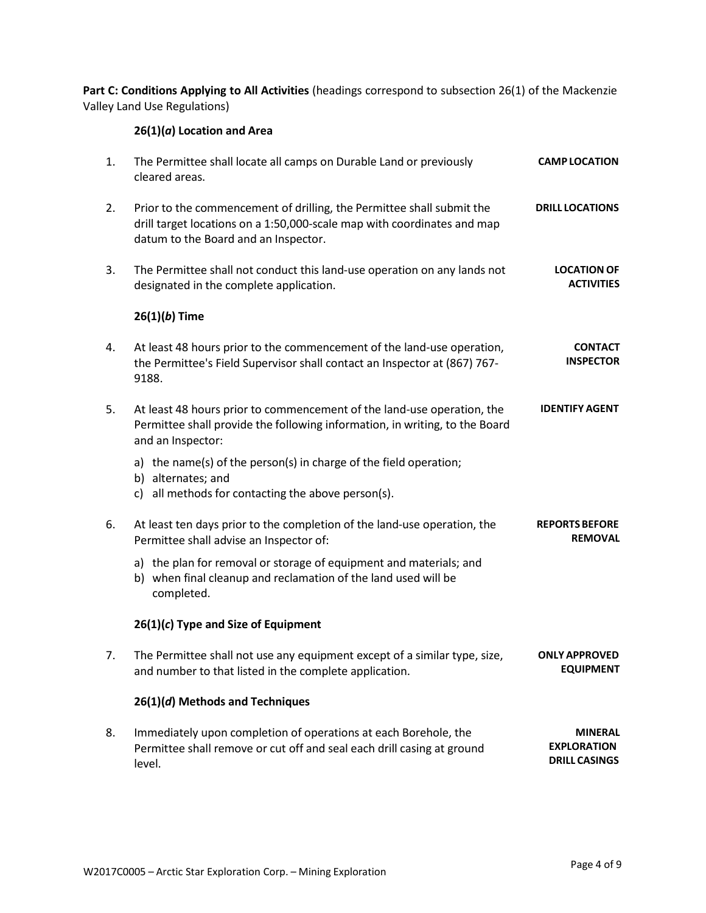**Part C: Conditions Applying to All Activities** (headings correspond to subsection 26(1) of the Mackenzie Valley Land Use Regulations)

# **26(1)(***a***) Location and Area**

| 1. | The Permittee shall locate all camps on Durable Land or previously<br>cleared areas.                                                                                                     | <b>CAMP LOCATION</b>                                         |
|----|------------------------------------------------------------------------------------------------------------------------------------------------------------------------------------------|--------------------------------------------------------------|
| 2. | Prior to the commencement of drilling, the Permittee shall submit the<br>drill target locations on a 1:50,000-scale map with coordinates and map<br>datum to the Board and an Inspector. | <b>DRILL LOCATIONS</b>                                       |
| 3. | The Permittee shall not conduct this land-use operation on any lands not<br>designated in the complete application.                                                                      | <b>LOCATION OF</b><br><b>ACTIVITIES</b>                      |
|    | $26(1)(b)$ Time                                                                                                                                                                          |                                                              |
| 4. | At least 48 hours prior to the commencement of the land-use operation,<br>the Permittee's Field Supervisor shall contact an Inspector at (867) 767-<br>9188.                             | <b>CONTACT</b><br><b>INSPECTOR</b>                           |
| 5. | At least 48 hours prior to commencement of the land-use operation, the<br>Permittee shall provide the following information, in writing, to the Board<br>and an Inspector:               | <b>IDENTIFY AGENT</b>                                        |
|    | a) the name(s) of the person(s) in charge of the field operation;<br>b) alternates; and<br>c) all methods for contacting the above person(s).                                            |                                                              |
| 6. | At least ten days prior to the completion of the land-use operation, the<br>Permittee shall advise an Inspector of:                                                                      | <b>REPORTS BEFORE</b><br><b>REMOVAL</b>                      |
|    | a) the plan for removal or storage of equipment and materials; and<br>b) when final cleanup and reclamation of the land used will be<br>completed.                                       |                                                              |
|    | $26(1)(c)$ Type and Size of Equipment                                                                                                                                                    |                                                              |
| 7. | The Permittee shall not use any equipment except of a similar type, size,<br>and number to that listed in the complete application.                                                      | <b>ONLY APPROVED</b><br><b>EQUIPMENT</b>                     |
|    | 26(1)(d) Methods and Techniques                                                                                                                                                          |                                                              |
| 8. | Immediately upon completion of operations at each Borehole, the<br>Permittee shall remove or cut off and seal each drill casing at ground<br>level.                                      | <b>MINERAL</b><br><b>EXPLORATION</b><br><b>DRILL CASINGS</b> |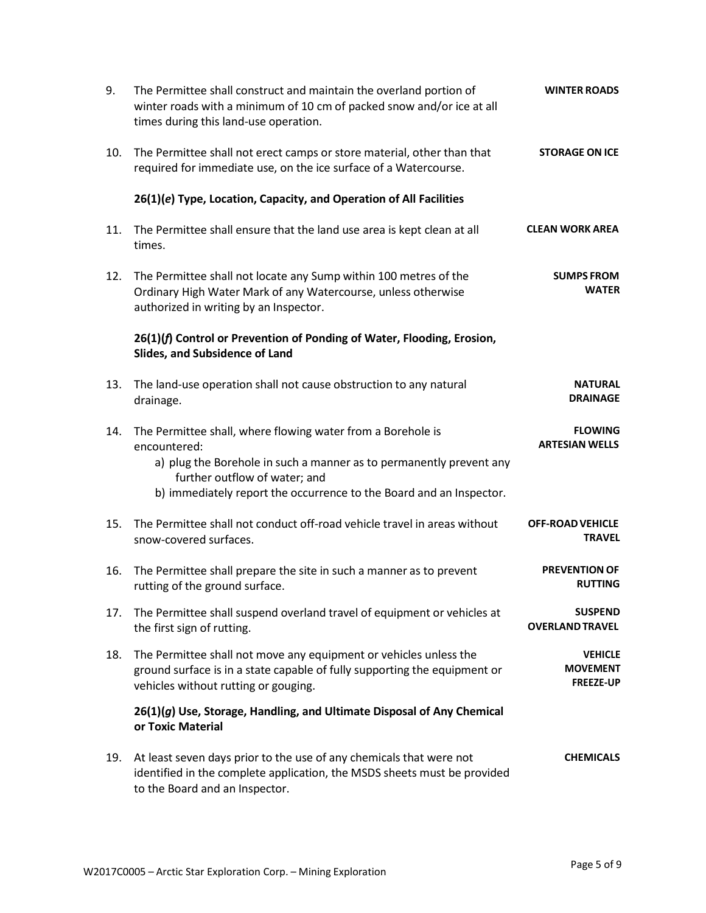| 9.  | The Permittee shall construct and maintain the overland portion of<br>winter roads with a minimum of 10 cm of packed snow and/or ice at all<br>times during this land-use operation.                                                                       | <b>WINTER ROADS</b>                                   |
|-----|------------------------------------------------------------------------------------------------------------------------------------------------------------------------------------------------------------------------------------------------------------|-------------------------------------------------------|
| 10. | The Permittee shall not erect camps or store material, other than that<br>required for immediate use, on the ice surface of a Watercourse.                                                                                                                 | <b>STORAGE ON ICE</b>                                 |
|     | 26(1)(e) Type, Location, Capacity, and Operation of All Facilities                                                                                                                                                                                         |                                                       |
| 11. | The Permittee shall ensure that the land use area is kept clean at all<br>times.                                                                                                                                                                           | <b>CLEAN WORK AREA</b>                                |
| 12. | The Permittee shall not locate any Sump within 100 metres of the<br>Ordinary High Water Mark of any Watercourse, unless otherwise<br>authorized in writing by an Inspector.                                                                                | <b>SUMPS FROM</b><br><b>WATER</b>                     |
|     | 26(1)(f) Control or Prevention of Ponding of Water, Flooding, Erosion,<br>Slides, and Subsidence of Land                                                                                                                                                   |                                                       |
| 13. | The land-use operation shall not cause obstruction to any natural<br>drainage.                                                                                                                                                                             | <b>NATURAL</b><br><b>DRAINAGE</b>                     |
| 14. | The Permittee shall, where flowing water from a Borehole is<br>encountered:<br>a) plug the Borehole in such a manner as to permanently prevent any<br>further outflow of water; and<br>b) immediately report the occurrence to the Board and an Inspector. | <b>FLOWING</b><br><b>ARTESIAN WELLS</b>               |
| 15. | The Permittee shall not conduct off-road vehicle travel in areas without<br>snow-covered surfaces.                                                                                                                                                         | <b>OFF-ROAD VEHICLE</b><br><b>TRAVEL</b>              |
| 16. | The Permittee shall prepare the site in such a manner as to prevent<br>rutting of the ground surface.                                                                                                                                                      | <b>PREVENTION OF</b><br><b>RUTTING</b>                |
| 17. | The Permittee shall suspend overland travel of equipment or vehicles at<br>the first sign of rutting.                                                                                                                                                      | <b>SUSPEND</b><br><b>OVERLAND TRAVEL</b>              |
| 18. | The Permittee shall not move any equipment or vehicles unless the<br>ground surface is in a state capable of fully supporting the equipment or<br>vehicles without rutting or gouging.                                                                     | <b>VEHICLE</b><br><b>MOVEMENT</b><br><b>FREEZE-UP</b> |
|     | 26(1)(g) Use, Storage, Handling, and Ultimate Disposal of Any Chemical<br>or Toxic Material                                                                                                                                                                |                                                       |
| 19. | At least seven days prior to the use of any chemicals that were not<br>identified in the complete application, the MSDS sheets must be provided<br>to the Board and an Inspector.                                                                          | <b>CHEMICALS</b>                                      |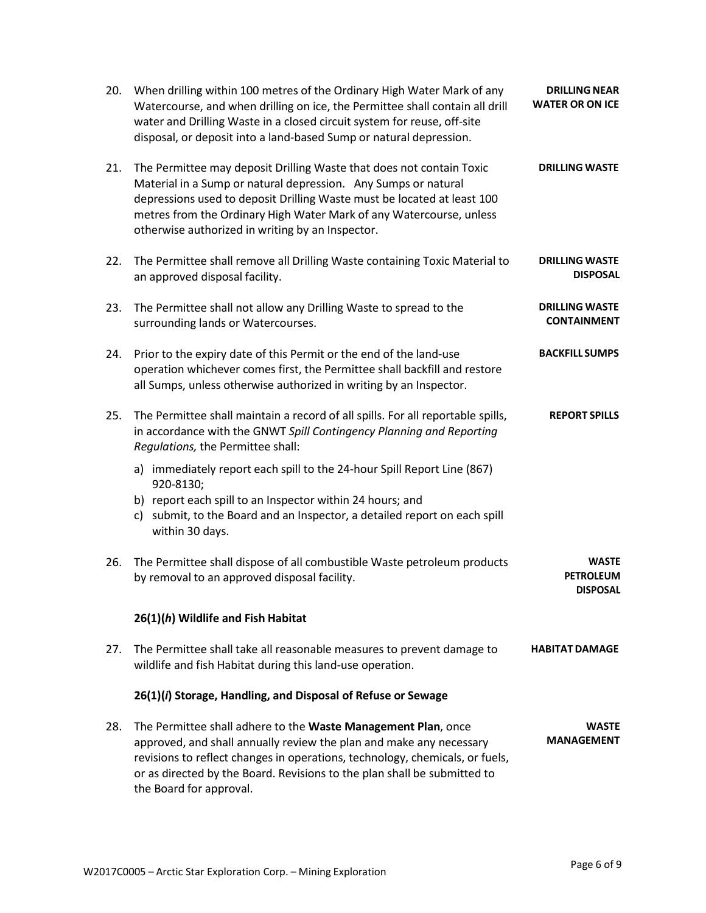| 20. | When drilling within 100 metres of the Ordinary High Water Mark of any<br>Watercourse, and when drilling on ice, the Permittee shall contain all drill<br>water and Drilling Waste in a closed circuit system for reuse, off-site<br>disposal, or deposit into a land-based Sump or natural depression.                                      | <b>DRILLING NEAR</b><br><b>WATER OR ON ICE</b>      |
|-----|----------------------------------------------------------------------------------------------------------------------------------------------------------------------------------------------------------------------------------------------------------------------------------------------------------------------------------------------|-----------------------------------------------------|
| 21. | The Permittee may deposit Drilling Waste that does not contain Toxic<br>Material in a Sump or natural depression. Any Sumps or natural<br>depressions used to deposit Drilling Waste must be located at least 100<br>metres from the Ordinary High Water Mark of any Watercourse, unless<br>otherwise authorized in writing by an Inspector. | <b>DRILLING WASTE</b>                               |
| 22. | The Permittee shall remove all Drilling Waste containing Toxic Material to<br>an approved disposal facility.                                                                                                                                                                                                                                 | <b>DRILLING WASTE</b><br><b>DISPOSAL</b>            |
| 23. | The Permittee shall not allow any Drilling Waste to spread to the<br>surrounding lands or Watercourses.                                                                                                                                                                                                                                      | <b>DRILLING WASTE</b><br><b>CONTAINMENT</b>         |
| 24. | Prior to the expiry date of this Permit or the end of the land-use<br>operation whichever comes first, the Permittee shall backfill and restore<br>all Sumps, unless otherwise authorized in writing by an Inspector.                                                                                                                        | <b>BACKFILL SUMPS</b>                               |
| 25. | The Permittee shall maintain a record of all spills. For all reportable spills,<br>in accordance with the GNWT Spill Contingency Planning and Reporting<br>Regulations, the Permittee shall:                                                                                                                                                 | <b>REPORT SPILLS</b>                                |
|     | a) immediately report each spill to the 24-hour Spill Report Line (867)<br>920-8130;<br>b) report each spill to an Inspector within 24 hours; and<br>c) submit, to the Board and an Inspector, a detailed report on each spill<br>within 30 days.                                                                                            |                                                     |
| 26. | The Permittee shall dispose of all combustible Waste petroleum products<br>by removal to an approved disposal facility.                                                                                                                                                                                                                      | <b>WASTE</b><br><b>PETROLEUM</b><br><b>DISPOSAL</b> |
|     | 26(1)(h) Wildlife and Fish Habitat                                                                                                                                                                                                                                                                                                           |                                                     |
| 27. | The Permittee shall take all reasonable measures to prevent damage to<br>wildlife and fish Habitat during this land-use operation.                                                                                                                                                                                                           | <b>HABITAT DAMAGE</b>                               |
|     | 26(1)(i) Storage, Handling, and Disposal of Refuse or Sewage                                                                                                                                                                                                                                                                                 |                                                     |
| 28. | The Permittee shall adhere to the Waste Management Plan, once<br>approved, and shall annually review the plan and make any necessary<br>revisions to reflect changes in operations, technology, chemicals, or fuels,<br>or as directed by the Board. Revisions to the plan shall be submitted to<br>the Board for approval.                  | <b>WASTE</b><br><b>MANAGEMENT</b>                   |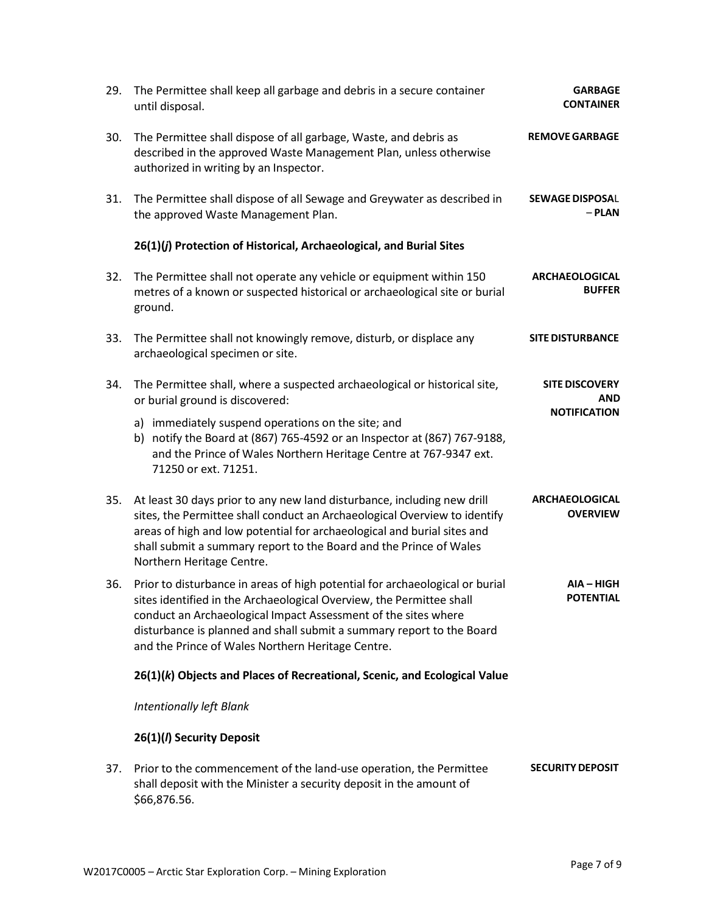| 29. | The Permittee shall keep all garbage and debris in a secure container<br>until disposal.                                                                                                                                                                                                                                                             | <b>GARBAGE</b><br><b>CONTAINER</b>                         |
|-----|------------------------------------------------------------------------------------------------------------------------------------------------------------------------------------------------------------------------------------------------------------------------------------------------------------------------------------------------------|------------------------------------------------------------|
| 30. | The Permittee shall dispose of all garbage, Waste, and debris as<br>described in the approved Waste Management Plan, unless otherwise<br>authorized in writing by an Inspector.                                                                                                                                                                      | <b>REMOVE GARBAGE</b>                                      |
| 31. | The Permittee shall dispose of all Sewage and Greywater as described in<br>the approved Waste Management Plan.                                                                                                                                                                                                                                       | <b>SEWAGE DISPOSAL</b><br>$-$ PLAN                         |
|     | 26(1)(j) Protection of Historical, Archaeological, and Burial Sites                                                                                                                                                                                                                                                                                  |                                                            |
| 32. | The Permittee shall not operate any vehicle or equipment within 150<br>metres of a known or suspected historical or archaeological site or burial<br>ground.                                                                                                                                                                                         | <b>ARCHAEOLOGICAL</b><br><b>BUFFER</b>                     |
| 33. | The Permittee shall not knowingly remove, disturb, or displace any<br>archaeological specimen or site.                                                                                                                                                                                                                                               | <b>SITE DISTURBANCE</b>                                    |
| 34. | The Permittee shall, where a suspected archaeological or historical site,<br>or burial ground is discovered:                                                                                                                                                                                                                                         | <b>SITE DISCOVERY</b><br><b>AND</b><br><b>NOTIFICATION</b> |
|     | a) immediately suspend operations on the site; and<br>b) notify the Board at (867) 765-4592 or an Inspector at (867) 767-9188,<br>and the Prince of Wales Northern Heritage Centre at 767-9347 ext.<br>71250 or ext. 71251.                                                                                                                          |                                                            |
| 35. | At least 30 days prior to any new land disturbance, including new drill<br>sites, the Permittee shall conduct an Archaeological Overview to identify<br>areas of high and low potential for archaeological and burial sites and<br>shall submit a summary report to the Board and the Prince of Wales<br>Northern Heritage Centre.                   | <b>ARCHAEOLOGICAL</b><br><b>OVERVIEW</b>                   |
| 36. | Prior to disturbance in areas of high potential for archaeological or burial<br>sites identified in the Archaeological Overview, the Permittee shall<br>conduct an Archaeological Impact Assessment of the sites where<br>disturbance is planned and shall submit a summary report to the Board<br>and the Prince of Wales Northern Heritage Centre. | $AIA - HIGH$<br><b>POTENTIAL</b>                           |
|     | 26(1)(k) Objects and Places of Recreational, Scenic, and Ecological Value                                                                                                                                                                                                                                                                            |                                                            |
|     | <b>Intentionally left Blank</b>                                                                                                                                                                                                                                                                                                                      |                                                            |
|     | 26(1)(/) Security Deposit                                                                                                                                                                                                                                                                                                                            |                                                            |
| 37. | Prior to the commencement of the land-use operation, the Permittee<br>shall deposit with the Minister a security deposit in the amount of<br>\$66,876.56.                                                                                                                                                                                            | <b>SECURITY DEPOSIT</b>                                    |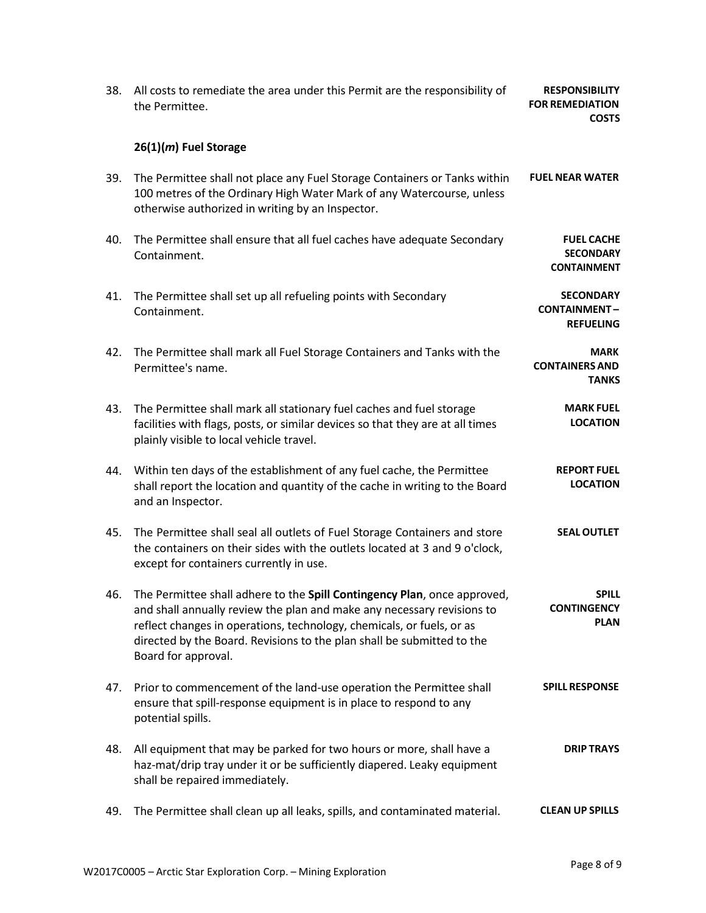| 38. | All costs to remediate the area under this Permit are the responsibility of<br>the Permittee.                                                                                                                                                                                                                                | <b>RESPONSIBILITY</b><br><b>FOR REMEDIATION</b><br><b>COSTS</b> |
|-----|------------------------------------------------------------------------------------------------------------------------------------------------------------------------------------------------------------------------------------------------------------------------------------------------------------------------------|-----------------------------------------------------------------|
|     | $26(1)(m)$ Fuel Storage                                                                                                                                                                                                                                                                                                      |                                                                 |
| 39. | The Permittee shall not place any Fuel Storage Containers or Tanks within<br>100 metres of the Ordinary High Water Mark of any Watercourse, unless<br>otherwise authorized in writing by an Inspector.                                                                                                                       | <b>FUEL NEAR WATER</b>                                          |
| 40. | The Permittee shall ensure that all fuel caches have adequate Secondary<br>Containment.                                                                                                                                                                                                                                      | <b>FUEL CACHE</b><br><b>SECONDARY</b><br><b>CONTAINMENT</b>     |
| 41. | The Permittee shall set up all refueling points with Secondary<br>Containment.                                                                                                                                                                                                                                               | <b>SECONDARY</b><br><b>CONTAINMENT-</b><br><b>REFUELING</b>     |
| 42. | The Permittee shall mark all Fuel Storage Containers and Tanks with the<br>Permittee's name.                                                                                                                                                                                                                                 | <b>MARK</b><br><b>CONTAINERS AND</b><br><b>TANKS</b>            |
| 43. | The Permittee shall mark all stationary fuel caches and fuel storage<br>facilities with flags, posts, or similar devices so that they are at all times<br>plainly visible to local vehicle travel.                                                                                                                           | <b>MARK FUEL</b><br><b>LOCATION</b>                             |
| 44. | Within ten days of the establishment of any fuel cache, the Permittee<br>shall report the location and quantity of the cache in writing to the Board<br>and an Inspector.                                                                                                                                                    | <b>REPORT FUEL</b><br><b>LOCATION</b>                           |
| 45. | The Permittee shall seal all outlets of Fuel Storage Containers and store<br>the containers on their sides with the outlets located at 3 and 9 o'clock,<br>except for containers currently in use.                                                                                                                           | <b>SEAL OUTLET</b>                                              |
| 46. | The Permittee shall adhere to the Spill Contingency Plan, once approved,<br>and shall annually review the plan and make any necessary revisions to<br>reflect changes in operations, technology, chemicals, or fuels, or as<br>directed by the Board. Revisions to the plan shall be submitted to the<br>Board for approval. | <b>SPILL</b><br><b>CONTINGENCY</b><br><b>PLAN</b>               |
| 47. | Prior to commencement of the land-use operation the Permittee shall<br>ensure that spill-response equipment is in place to respond to any<br>potential spills.                                                                                                                                                               | <b>SPILL RESPONSE</b>                                           |
| 48. | All equipment that may be parked for two hours or more, shall have a<br>haz-mat/drip tray under it or be sufficiently diapered. Leaky equipment<br>shall be repaired immediately.                                                                                                                                            | <b>DRIP TRAYS</b>                                               |
| 49. | The Permittee shall clean up all leaks, spills, and contaminated material.                                                                                                                                                                                                                                                   | <b>CLEAN UP SPILLS</b>                                          |